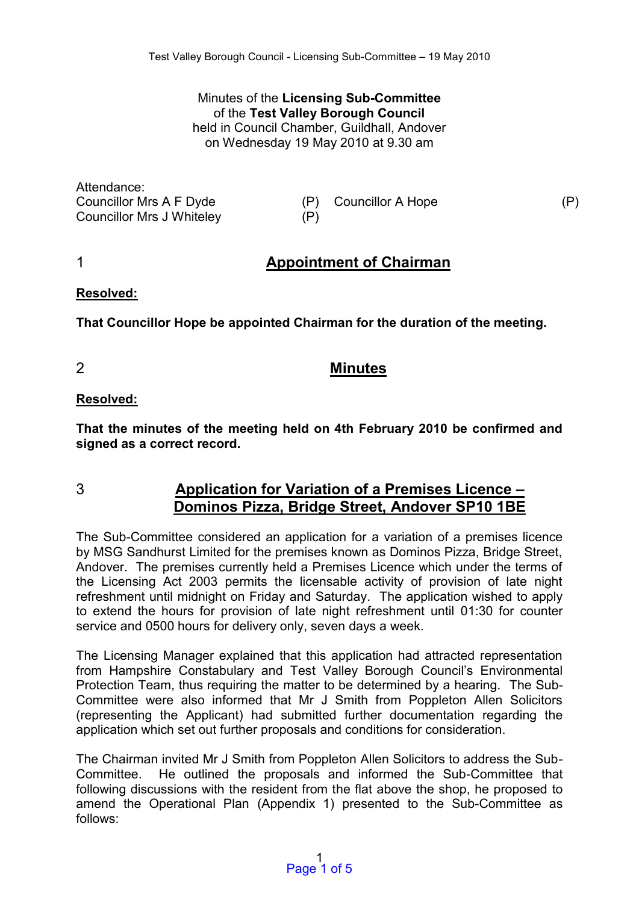Minutes of the **Licensing Sub-Committee**  of the **Test Valley Borough Council** held in Council Chamber, Guildhall, Andover on Wednesday 19 May 2010 at 9.30 am

Attendance: Councillor Mrs A F Dyde (P) Councillor A Hope (P) Councillor Mrs J Whiteley (P)

# 1 **Appointment of Chairman**

#### **Resolved:**

**That Councillor Hope be appointed Chairman for the duration of the meeting.** 

2 **Minutes** 

# **Resolved:**

**That the minutes of the meeting held on 4th February 2010 be confirmed and signed as a correct record.** 

# 3 **Application for Variation of a Premises Licence – Dominos Pizza, Bridge Street, Andover SP10 1BE**

The Sub-Committee considered an application for a variation of a premises licence by MSG Sandhurst Limited for the premises known as Dominos Pizza, Bridge Street, Andover. The premises currently held a Premises Licence which under the terms of the Licensing Act 2003 permits the licensable activity of provision of late night refreshment until midnight on Friday and Saturday. The application wished to apply to extend the hours for provision of late night refreshment until 01:30 for counter service and 0500 hours for delivery only, seven days a week.

The Licensing Manager explained that this application had attracted representation from Hampshire Constabulary and Test Valley Borough Council's Environmental Protection Team, thus requiring the matter to be determined by a hearing. The Sub-Committee were also informed that Mr J Smith from Poppleton Allen Solicitors (representing the Applicant) had submitted further documentation regarding the application which set out further proposals and conditions for consideration.

The Chairman invited Mr J Smith from Poppleton Allen Solicitors to address the Sub-Committee. He outlined the proposals and informed the Sub-Committee that following discussions with the resident from the flat above the shop, he proposed to amend the Operational Plan (Appendix 1) presented to the Sub-Committee as follows: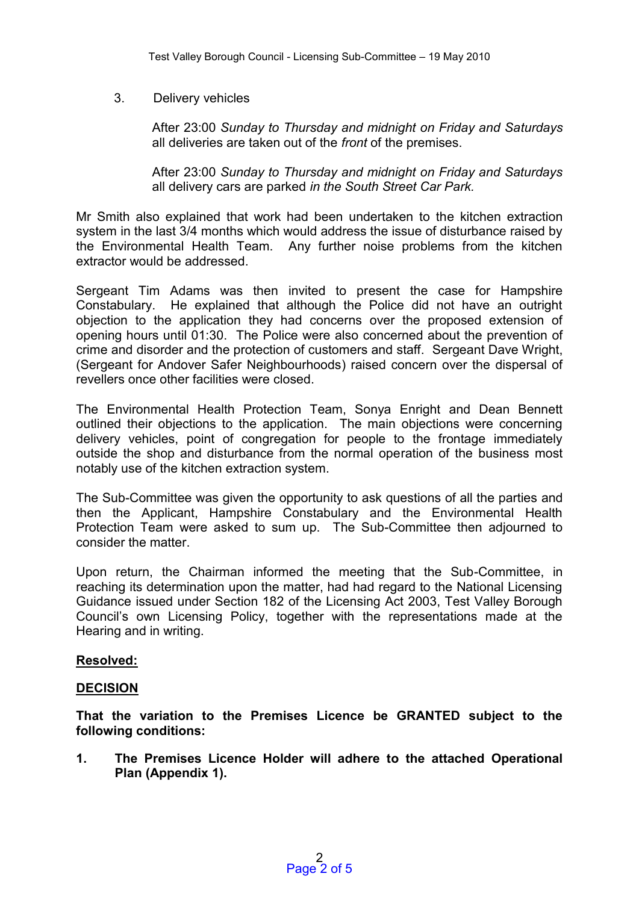# 3. Delivery vehicles

 After 23:00 *Sunday to Thursday and midnight on Friday and Saturdays*  all deliveries are taken out of the *front* of the premises.

 After 23:00 *Sunday to Thursday and midnight on Friday and Saturdays*  all delivery cars are parked *in the South Street Car Park.* 

Mr Smith also explained that work had been undertaken to the kitchen extraction system in the last 3/4 months which would address the issue of disturbance raised by the Environmental Health Team. Any further noise problems from the kitchen extractor would be addressed.

Sergeant Tim Adams was then invited to present the case for Hampshire Constabulary. He explained that although the Police did not have an outright objection to the application they had concerns over the proposed extension of opening hours until 01:30. The Police were also concerned about the prevention of crime and disorder and the protection of customers and staff. Sergeant Dave Wright, (Sergeant for Andover Safer Neighbourhoods) raised concern over the dispersal of revellers once other facilities were closed.

The Environmental Health Protection Team, Sonya Enright and Dean Bennett outlined their objections to the application. The main objections were concerning delivery vehicles, point of congregation for people to the frontage immediately outside the shop and disturbance from the normal operation of the business most notably use of the kitchen extraction system.

The Sub-Committee was given the opportunity to ask questions of all the parties and then the Applicant, Hampshire Constabulary and the Environmental Health Protection Team were asked to sum up. The Sub-Committee then adjourned to consider the matter.

Upon return, the Chairman informed the meeting that the Sub-Committee, in reaching its determination upon the matter, had had regard to the National Licensing Guidance issued under Section 182 of the Licensing Act 2003, Test Valley Borough Council's own Licensing Policy, together with the representations made at the Hearing and in writing.

# **Resolved:**

# **DECISION**

**That the variation to the Premises Licence be GRANTED subject to the following conditions:** 

**1. The Premises Licence Holder will adhere to the attached Operational Plan (Appendix 1).**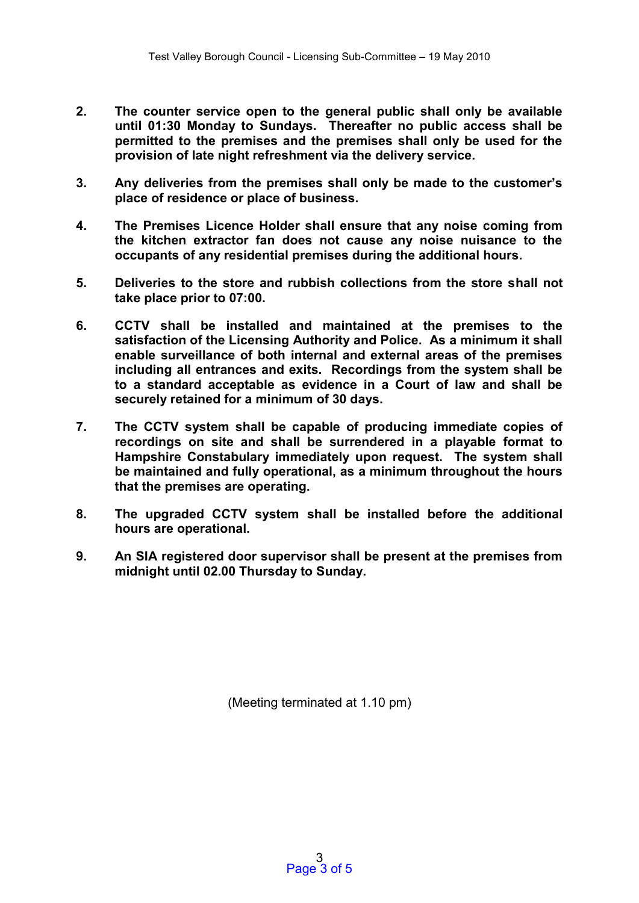- **2. The counter service open to the general public shall only be available until 01:30 Monday to Sundays. Thereafter no public access shall be permitted to the premises and the premises shall only be used for the provision of late night refreshment via the delivery service.**
- **3. Any deliveries from the premises shall only be made to the customer's place of residence or place of business.**
- **4. The Premises Licence Holder shall ensure that any noise coming from the kitchen extractor fan does not cause any noise nuisance to the occupants of any residential premises during the additional hours.**
- **5. Deliveries to the store and rubbish collections from the store shall not take place prior to 07:00.**
- **6. CCTV shall be installed and maintained at the premises to the satisfaction of the Licensing Authority and Police. As a minimum it shall enable surveillance of both internal and external areas of the premises including all entrances and exits. Recordings from the system shall be to a standard acceptable as evidence in a Court of law and shall be securely retained for a minimum of 30 days.**
- **7. The CCTV system shall be capable of producing immediate copies of recordings on site and shall be surrendered in a playable format to Hampshire Constabulary immediately upon request. The system shall be maintained and fully operational, as a minimum throughout the hours that the premises are operating.**
- **8. The upgraded CCTV system shall be installed before the additional hours are operational.**
- **9. An SIA registered door supervisor shall be present at the premises from midnight until 02.00 Thursday to Sunday.**

(Meeting terminated at 1.10 pm)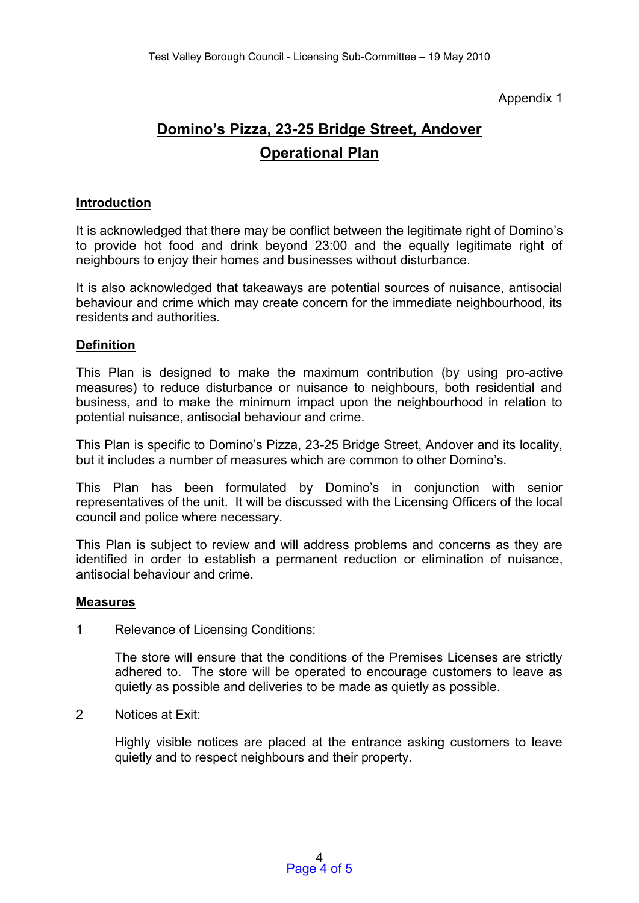# Appendix 1

# **Domino's Pizza, 23-25 Bridge Street, Andover Operational Plan**

#### **Introduction**

It is acknowledged that there may be conflict between the legitimate right of Domino's to provide hot food and drink beyond 23:00 and the equally legitimate right of neighbours to enjoy their homes and businesses without disturbance.

It is also acknowledged that takeaways are potential sources of nuisance, antisocial behaviour and crime which may create concern for the immediate neighbourhood, its residents and authorities.

# **Definition**

This Plan is designed to make the maximum contribution (by using pro-active measures) to reduce disturbance or nuisance to neighbours, both residential and business, and to make the minimum impact upon the neighbourhood in relation to potential nuisance, antisocial behaviour and crime.

This Plan is specific to Domino's Pizza, 23-25 Bridge Street, Andover and its locality, but it includes a number of measures which are common to other Domino's.

This Plan has been formulated by Domino's in conjunction with senior representatives of the unit. It will be discussed with the Licensing Officers of the local council and police where necessary.

This Plan is subject to review and will address problems and concerns as they are identified in order to establish a permanent reduction or elimination of nuisance, antisocial behaviour and crime.

#### **Measures**

# 1 Relevance of Licensing Conditions:

The store will ensure that the conditions of the Premises Licenses are strictly adhered to. The store will be operated to encourage customers to leave as quietly as possible and deliveries to be made as quietly as possible.

2 Notices at Exit:

Highly visible notices are placed at the entrance asking customers to leave quietly and to respect neighbours and their property.